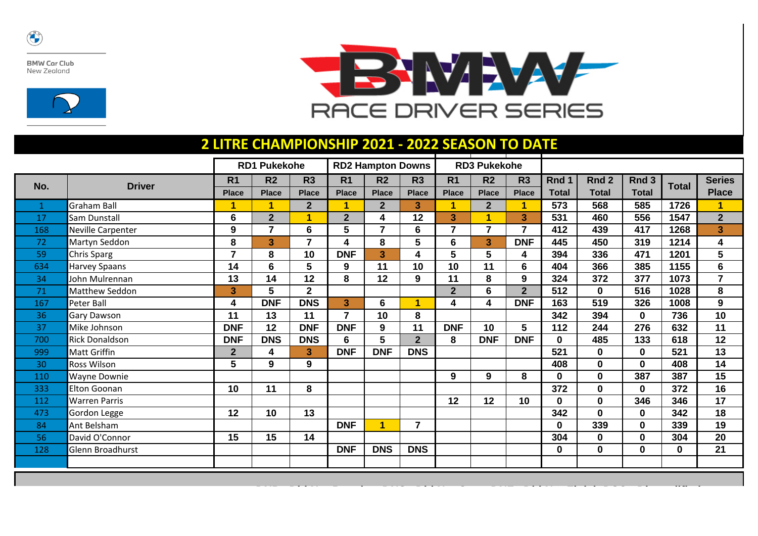

**BMW Car Club** New Zealand





**DNP= Did Not Practice DNS= Did Not Start DNF= Did Not Finish DSQ= Disqualified**

## **2 LITRE CHAMPIONSHIP 2021 - 2022 SEASON TO DATE**

|     |                       | <b>RD1 Pukekohe</b>     |                 |                | <b>RD2 Hampton Downs</b> |                      |                | <b>RD3 Pukekohe</b>     |                |                |              |                  |              |              |                         |
|-----|-----------------------|-------------------------|-----------------|----------------|--------------------------|----------------------|----------------|-------------------------|----------------|----------------|--------------|------------------|--------------|--------------|-------------------------|
| No. | <b>Driver</b>         | R <sub>1</sub>          | R <sub>2</sub>  | R <sub>3</sub> | R <sub>1</sub>           | R <sub>2</sub>       | R <sub>3</sub> | R <sub>1</sub>          | R <sub>2</sub> | R <sub>3</sub> | Rnd 1        | Rnd <sub>2</sub> | Rnd 3        | <b>Total</b> | <b>Series</b>           |
|     |                       | <b>Place</b>            | <b>Place</b>    | <b>Place</b>   | <b>Place</b>             | <b>Place</b>         | <b>Place</b>   | <b>Place</b>            | <b>Place</b>   | <b>Place</b>   | <b>Total</b> | <b>Total</b>     | <b>Total</b> |              | <b>Place</b>            |
| 1   | <b>Graham Ball</b>    | 1                       | $\mathbf 1$     | 2 <sup>1</sup> | 1                        | 2 <sup>2</sup>       | 3              |                         | $\mathbf{2}$   | 1              | 573          | 568              | 585          | 1726         | $\overline{1}$          |
| 17  | Sam Dunstall          | $6\phantom{a}$          | $\overline{2}$  | $\overline{1}$ | $\overline{2}$           | 4                    | 12             | $\overline{3}$          | 1              | 3              | 531          | 460              | 556          | 1547         | $\overline{2}$          |
| 168 | Neville Carpenter     | $\boldsymbol{9}$        | $\overline{7}$  | $6\phantom{a}$ | 5                        | $\overline{7}$       | 6              | $\overline{\mathbf{z}}$ | $\overline{7}$ | $\overline{7}$ | 412          | 439              | 417          | 1268         | $\overline{\mathbf{3}}$ |
| 72  | Martyn Seddon         | 8                       | 3               | $\overline{7}$ | 4                        | 8                    | 5              | 6                       | 3              | <b>DNF</b>     | 445          | 450              | 319          | 1214         | $\overline{\mathbf{4}}$ |
| 59  | Chris Sparg           | $\overline{7}$          | 8               | 10             | <b>DNF</b>               | 3                    | 4              | 5                       | 5              | 4              | 394          | 336              | 471          | 1201         | 5                       |
| 634 | Harvey Spaans         | 14                      | $6\phantom{1}$  | $5\phantom{1}$ | 9                        | 11                   | 10             | 10                      | 11             | 6              | 404          | 366              | 385          | 1155         | $6\phantom{a}$          |
| 34  | John Mulrennan        | 13                      | 14              | 12             | 8                        | 12                   | 9              | 11                      | 8              | 9              | 324          | 372              | 377          | 1073         | $\overline{7}$          |
| 71  | Matthew Seddon        | $\overline{\mathbf{3}}$ | 5               | $\mathbf{2}$   |                          |                      |                | 2 <sup>1</sup>          | 6              | 2 <sup>2</sup> | 512          | $\mathbf{0}$     | 516          | 1028         | 8                       |
| 167 | Peter Ball            | 4                       | <b>DNF</b>      | <b>DNS</b>     | $\overline{3}$           | 6                    | 1              | 4                       | 4              | <b>DNF</b>     | 163          | 519              | 326          | 1008         | 9                       |
| 36  | Gary Dawson           | 11                      | 13              | 11             | $\overline{7}$           | 10                   | 8              |                         |                |                | 342          | 394              | $\mathbf 0$  | 736          | 10                      |
| 37  | Mike Johnson          | <b>DNF</b>              | 12              | <b>DNF</b>     | <b>DNF</b>               | 9                    | 11             | <b>DNF</b>              | 10             | 5              | 112          | 244              | 276          | 632          | 11                      |
| 700 | <b>Rick Donaldson</b> | <b>DNF</b>              | <b>DNS</b>      | <b>DNS</b>     | 6                        | 5                    | 2 <sup>2</sup> | 8                       | <b>DNF</b>     | <b>DNF</b>     | $\mathbf 0$  | 485              | 133          | 618          | 12                      |
| 999 | <b>Matt Griffin</b>   | $\mathbf{2}$            | 4               | $\mathbf{3}$   | <b>DNF</b>               | <b>DNF</b>           | <b>DNS</b>     |                         |                |                | 521          | 0                | $\mathbf 0$  | 521          | 13                      |
| 30  | Ross Wilson           | 5                       | 9               | 9              |                          |                      |                |                         |                |                | 408          | $\mathbf 0$      | $\mathbf 0$  | 408          | 14                      |
| 110 | Wayne Downie          |                         |                 |                |                          |                      |                | 9                       | 9              | 8              | $\mathbf{0}$ | $\mathbf 0$      | 387          | 387          | 15                      |
| 333 | Elton Goonan          | 10                      | 11              | 8              |                          |                      |                |                         |                |                | 372          | $\bf{0}$         | $\mathbf 0$  | 372          | 16                      |
| 112 | <b>Warren Parris</b>  |                         |                 |                |                          |                      |                | 12                      | 12             | 10             | $\mathbf{0}$ | $\bf{0}$         | 346          | 346          | 17                      |
| 473 | Gordon Legge          | 12                      | 10 <sup>°</sup> | 13             |                          |                      |                |                         |                |                | 342          | $\mathbf{0}$     | $\mathbf{0}$ | 342          | 18                      |
| 84  | Ant Belsham           |                         |                 |                | <b>DNF</b>               | $\blacktriangleleft$ | $\overline{7}$ |                         |                |                | $\mathbf 0$  | 339              | $\mathbf 0$  | 339          | 19                      |
| 56  | David O'Connor        | 15                      | 15              | 14             |                          |                      |                |                         |                |                | 304          | 0                | $\mathbf 0$  | 304          | 20                      |
| 128 | Glenn Broadhurst      |                         |                 |                | <b>DNF</b>               | <b>DNS</b>           | <b>DNS</b>     |                         |                |                | $\bf{0}$     | $\mathbf 0$      | $\mathbf 0$  | $\mathbf 0$  | 21                      |
|     |                       |                         |                 |                |                          |                      |                |                         |                |                |              |                  |              |              |                         |
|     |                       |                         |                 |                |                          |                      |                |                         |                |                |              |                  |              |              |                         |